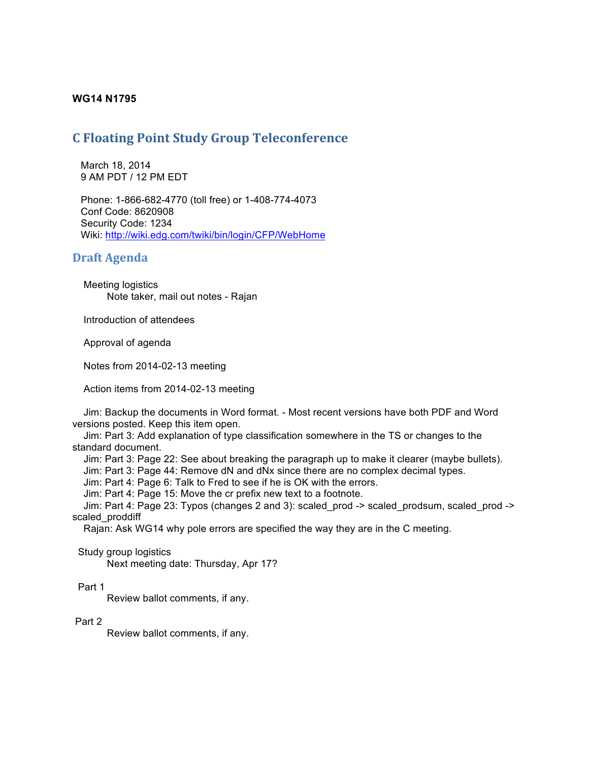### **WG14 N1795**

## **C Floating Point Study Group Teleconference**

 March 18, 2014 9 AM PDT / 12 PM EDT

 Phone: 1-866-682-4770 (toll free) or 1-408-774-4073 Conf Code: 8620908 Security Code: 1234 Wiki: http://wiki.edg.com/twiki/bin/login/CFP/WebHome

### **Draft Agenda**

 Meeting logistics Note taker, mail out notes - Rajan

Introduction of attendees

Approval of agenda

Notes from 2014-02-13 meeting

Action items from 2014-02-13 meeting

 Jim: Backup the documents in Word format. - Most recent versions have both PDF and Word versions posted. Keep this item open.

 Jim: Part 3: Add explanation of type classification somewhere in the TS or changes to the standard document.

Jim: Part 3: Page 22: See about breaking the paragraph up to make it clearer (maybe bullets).

Jim: Part 3: Page 44: Remove dN and dNx since there are no complex decimal types.

Jim: Part 4: Page 6: Talk to Fred to see if he is OK with the errors.

Jim: Part 4: Page 15: Move the cr prefix new text to a footnote.

 Jim: Part 4: Page 23: Typos (changes 2 and 3): scaled\_prod -> scaled\_prodsum, scaled\_prod -> scaled proddiff

Rajan: Ask WG14 why pole errors are specified the way they are in the C meeting.

Study group logistics

Next meeting date: Thursday, Apr 17?

Part 1

Review ballot comments, if any.

#### Part 2

Review ballot comments, if any.